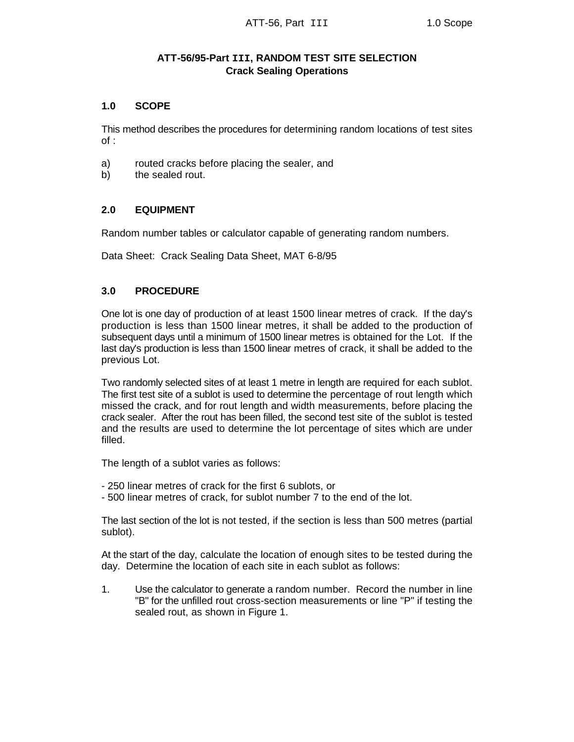# **ATT-56/95-Part III, RANDOM TEST SITE SELECTION Crack Sealing Operations**

### **1.0 SCOPE**

This method describes the procedures for determining random locations of test sites of :

- a) routed cracks before placing the sealer, and
- b) the sealed rout.

## **2.0 EQUIPMENT**

Random number tables or calculator capable of generating random numbers.

Data Sheet: Crack Sealing Data Sheet, MAT 6-8/95

# **3.0 PROCEDURE**

One lot is one day of production of at least 1500 linear metres of crack. If the day's production is less than 1500 linear metres, it shall be added to the production of subsequent days until a minimum of 1500 linear metres is obtained for the Lot. If the last day's production is less than 1500 linear metres of crack, it shall be added to the previous Lot.

Two randomly selected sites of at least 1 metre in length are required for each sublot. The first test site of a sublot is used to determine the percentage of rout length which missed the crack, and for rout length and width measurements, before placing the crack sealer. After the rout has been filled, the second test site of the sublot is tested and the results are used to determine the lot percentage of sites which are under filled.

The length of a sublot varies as follows:

- 250 linear metres of crack for the first 6 sublots, or
- 500 linear metres of crack, for sublot number 7 to the end of the lot.

The last section of the lot is not tested, if the section is less than 500 metres (partial sublot).

At the start of the day, calculate the location of enough sites to be tested during the day. Determine the location of each site in each sublot as follows:

1. Use the calculator to generate a random number. Record the number in line "B" for the unfilled rout cross-section measurements or line "P" if testing the sealed rout, as shown in Figure 1.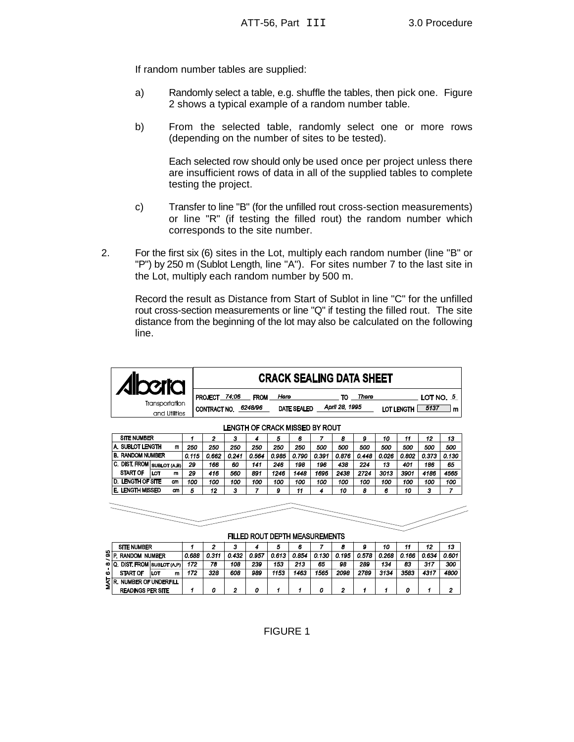If random number tables are supplied:

- a) Randomly select a table, e.g. shuffle the tables, then pick one. Figure 2 shows a typical example of a random number table.
- b) From the selected table, randomly select one or more rows (depending on the number of sites to be tested).

Each selected row should only be used once per project unless there are insufficient rows of data in all of the supplied tables to complete testing the project.

- c) Transfer to line "B" (for the unfilled rout cross-section measurements) or line "R" (if testing the filled rout) the random number which corresponds to the site number.
- 2. For the first six (6) sites in the Lot, multiply each random number (line "B" or "P") by 250 m (Sublot Length, line "A"). For sites number 7 to the last site in the Lot, multiply each random number by 500 m.

Record the result as Distance from Start of Sublot in line "C" for the unfilled rout cross-section measurements or line "Q" if testing the filled rout. The site distance from the beginning of the lot may also be calculated on the following line.

| <b>31101</b>   | <b>CRACK SEALING DATA SHEET</b>                                                            |  |  |  |  |  |  |  |  |  |
|----------------|--------------------------------------------------------------------------------------------|--|--|--|--|--|--|--|--|--|
|                | 74:06<br>Here<br><b>PROJECT</b><br>LOT NO, 5<br><b>FROM</b><br>There<br>το                 |  |  |  |  |  |  |  |  |  |
| Transportation | April 28, 1995<br>6248/96<br><b>DATE SEALED</b><br>5137<br>CONTRACT NO.<br>LOT LENGTH<br>m |  |  |  |  |  |  |  |  |  |
| and Utlities   |                                                                                            |  |  |  |  |  |  |  |  |  |

| <b>SITE NUMBER</b>         |          | 2     | з     | 4     | 5     | 6     |       | 8     | 9     | 10    | 11    | 12    | 13    |      |
|----------------------------|----------|-------|-------|-------|-------|-------|-------|-------|-------|-------|-------|-------|-------|------|
| A. SUBLOT LENGTH           | 250      | 250   | 250   | 250   | 250   | 250   | 500   | 500   | 500   | 500   | 500   | 500   | 500   |      |
| <b>B. RANDOM NUMBER</b>    | 0.115    | 0.662 | 0.241 | 0.564 | 0.985 | 0.790 | 0.391 | 0.876 | 0.448 | 0.026 | 0.802 | 0.373 | 0.130 |      |
| C. DIST. FROM SUBLOT (A.B) |          | 29    | 166   | 60    | 141   | 246   | 198   | 196   | 438   | 224   | 13    | 401   | 186   | 65   |
| <b>START OF</b>            | LOT<br>m | 29    | 416   | 560   | 891   | 1246  | 1448  | 1696  | 2438  | 2724  | 3013  | 3901  | 4186  | 4565 |
| <b>D. LENGTH OF SITE</b>   | cm       | 100   | 100   | 100   | 100   | 100   | 100   | 100   | 100   | 100   | 100   | 100   | 100   | 100  |
| E. LENGTH MISSED           | cm<br>5  | 12    | з     |       | 9     | 11    | 4     | 10    | 8     | 6     | 10    | 3     |       |      |
|                            |          |       |       |       |       |       |       |       |       |       |       |       |       |      |
|                            |          |       |       |       |       |       |       |       |       |       |       |       |       |      |
|                            |          |       |       |       |       |       |       |       |       |       |       |       |       |      |
|                            |          |       |       |       |       |       |       |       |       |       |       |       |       |      |

#### LENGTH OF CRACK MISSED BY ROUT

FILLED ROUT DEPTH MEASUREMENTS

|            | <b>SITE NUMBER</b>   |                            |       |       |       | o     | o     |       |       |       | 10    | 11    | 12    | 13    |      |
|------------|----------------------|----------------------------|-------|-------|-------|-------|-------|-------|-------|-------|-------|-------|-------|-------|------|
| $S_F$<br>∼ | <b>RANDOM NUMBER</b> | 0.688                      | 0.311 | 0.432 | 0.957 | 0.613 | 0.854 | 0.130 | 0.195 | 0.578 | 0.268 | 0.166 | 0.634 | 0.601 |      |
|            | ∞∣0.                 | DIST. FROM SUBLOT (A.P)    | 172   | 78    | 108   | 239   | 153   | 213   | 65    | 98    | 289   | 134   | 83    | 317   | 300  |
| ۰          | <b>START OF</b>      | . LOT<br>m                 | 172   | 328   | 608   | 989   | 1153  | 1463  | 1565  | 2098  | 2789  | 3134  | 3583  | 4317  | 4800 |
| Σlε        |                      | <b>NUMBER OF UNDERFILL</b> |       |       |       |       |       |       |       |       |       |       |       |       |      |
|            |                      | <b>READINGS PER SITE</b>   |       | о     |       |       |       |       |       | ,     |       |       |       |       | n    |

FIGURE 1